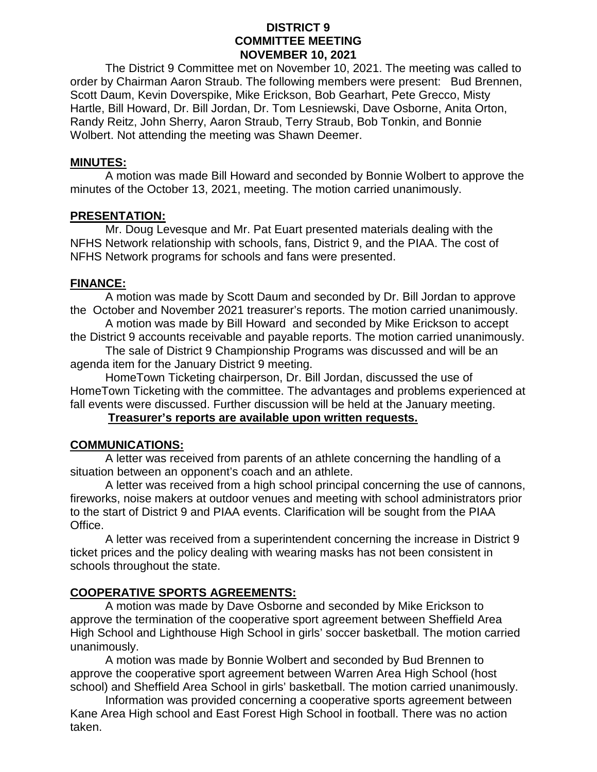#### **DISTRICT 9 COMMITTEE MEETING NOVEMBER 10, 2021**

The District 9 Committee met on November 10, 2021. The meeting was called to order by Chairman Aaron Straub. The following members were present: Bud Brennen, Scott Daum, Kevin Doverspike, Mike Erickson, Bob Gearhart, Pete Grecco, Misty Hartle, Bill Howard, Dr. Bill Jordan, Dr. Tom Lesniewski, Dave Osborne, Anita Orton, Randy Reitz, John Sherry, Aaron Straub, Terry Straub, Bob Tonkin, and Bonnie Wolbert. Not attending the meeting was Shawn Deemer.

#### **MINUTES:**

A motion was made Bill Howard and seconded by Bonnie Wolbert to approve the minutes of the October 13, 2021, meeting. The motion carried unanimously.

#### **PRESENTATION:**

Mr. Doug Levesque and Mr. Pat Euart presented materials dealing with the NFHS Network relationship with schools, fans, District 9, and the PIAA. The cost of NFHS Network programs for schools and fans were presented.

## **FINANCE:**

A motion was made by Scott Daum and seconded by Dr. Bill Jordan to approve the October and November 2021 treasurer's reports. The motion carried unanimously.

A motion was made by Bill Howard and seconded by Mike Erickson to accept the District 9 accounts receivable and payable reports. The motion carried unanimously.

The sale of District 9 Championship Programs was discussed and will be an agenda item for the January District 9 meeting.

HomeTown Ticketing chairperson, Dr. Bill Jordan, discussed the use of HomeTown Ticketing with the committee. The advantages and problems experienced at fall events were discussed. Further discussion will be held at the January meeting.

## **Treasurer's reports are available upon written requests.**

## **COMMUNICATIONS:**

A letter was received from parents of an athlete concerning the handling of a situation between an opponent's coach and an athlete.

A letter was received from a high school principal concerning the use of cannons, fireworks, noise makers at outdoor venues and meeting with school administrators prior to the start of District 9 and PIAA events. Clarification will be sought from the PIAA Office.

A letter was received from a superintendent concerning the increase in District 9 ticket prices and the policy dealing with wearing masks has not been consistent in schools throughout the state.

## **COOPERATIVE SPORTS AGREEMENTS:**

A motion was made by Dave Osborne and seconded by Mike Erickson to approve the termination of the cooperative sport agreement between Sheffield Area High School and Lighthouse High School in girls' soccer basketball. The motion carried unanimously.

A motion was made by Bonnie Wolbert and seconded by Bud Brennen to approve the cooperative sport agreement between Warren Area High School (host school) and Sheffield Area School in girls' basketball. The motion carried unanimously.

Information was provided concerning a cooperative sports agreement between Kane Area High school and East Forest High School in football. There was no action taken.